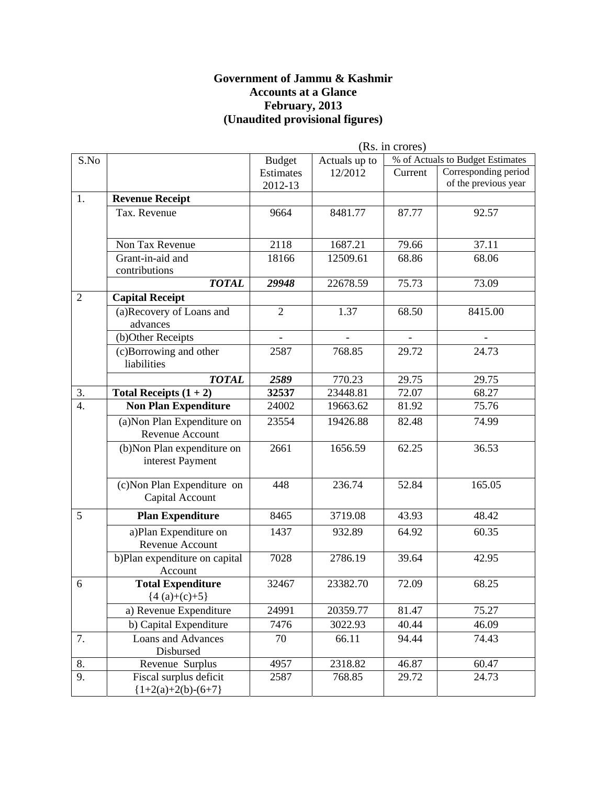#### **Government of Jammu & Kashmir Accounts at a Glance February, 2013 (Unaudited provisional figures)**

|                |                                     |                |               | (Rs. in crores) |                                  |  |  |
|----------------|-------------------------------------|----------------|---------------|-----------------|----------------------------------|--|--|
| S.No           |                                     | <b>Budget</b>  | Actuals up to |                 | % of Actuals to Budget Estimates |  |  |
|                |                                     | Estimates      | 12/2012       | Current         | Corresponding period             |  |  |
|                |                                     | 2012-13        |               |                 | of the previous year             |  |  |
| 1.             | <b>Revenue Receipt</b>              |                |               |                 |                                  |  |  |
|                | Tax. Revenue                        | 9664           | 8481.77       | 87.77           | 92.57                            |  |  |
|                |                                     |                |               |                 |                                  |  |  |
|                | Non Tax Revenue                     | 2118           | 1687.21       | 79.66           | 37.11                            |  |  |
|                | Grant-in-aid and                    | 18166          | 12509.61      | 68.86           | 68.06                            |  |  |
|                | contributions                       |                |               |                 |                                  |  |  |
|                | <b>TOTAL</b>                        | 29948          | 22678.59      | 75.73           | 73.09                            |  |  |
| $\overline{2}$ | <b>Capital Receipt</b>              |                |               |                 |                                  |  |  |
|                | (a)Recovery of Loans and            | $\overline{2}$ | 1.37          | 68.50           | 8415.00                          |  |  |
|                | advances                            |                |               |                 |                                  |  |  |
|                | (b)Other Receipts                   |                |               |                 |                                  |  |  |
|                | (c)Borrowing and other              | 2587           | 768.85        | 29.72           | 24.73                            |  |  |
|                | liabilities                         |                |               |                 |                                  |  |  |
|                | <b>TOTAL</b>                        | 2589           | 770.23        | 29.75           | 29.75                            |  |  |
| 3.             | Total Receipts $(1 + 2)$            | 32537          | 23448.81      | 72.07           | 68.27                            |  |  |
| 4.             | <b>Non Plan Expenditure</b>         | 24002          | 19663.62      | 81.92           | 75.76                            |  |  |
|                | (a) Non Plan Expenditure on         | 23554          | 19426.88      | 82.48           | 74.99                            |  |  |
|                | Revenue Account                     |                |               |                 |                                  |  |  |
|                | (b) Non Plan expenditure on         | 2661           | 1656.59       | 62.25           | 36.53                            |  |  |
|                | interest Payment                    |                |               |                 |                                  |  |  |
|                | (c)Non Plan Expenditure on          | 448            | 236.74        | 52.84           | 165.05                           |  |  |
|                | Capital Account                     |                |               |                 |                                  |  |  |
|                |                                     |                |               |                 |                                  |  |  |
| 5              | <b>Plan Expenditure</b>             | 8465           | 3719.08       | 43.93           | 48.42                            |  |  |
|                | a)Plan Expenditure on               | 1437           | 932.89        | 64.92           | 60.35                            |  |  |
|                | Revenue Account                     |                |               |                 |                                  |  |  |
|                | b)Plan expenditure on capital       | 7028           | 2786.19       | 39.64           | 42.95                            |  |  |
| 6              | Account<br><b>Total Expenditure</b> |                |               |                 |                                  |  |  |
|                | ${4(a)+(c)+5}$                      | 32467          | 23382.70      | 72.09           | 68.25                            |  |  |
|                | a) Revenue Expenditure              | 24991          | 20359.77      | 81.47           | 75.27                            |  |  |
|                | b) Capital Expenditure              | 7476           | 3022.93       | 40.44           | 46.09                            |  |  |
| 7.             | <b>Loans and Advances</b>           | 70             | 66.11         | 94.44           | 74.43                            |  |  |
|                | Disbursed                           |                |               |                 |                                  |  |  |
| 8.             | Revenue Surplus                     | 4957           | 2318.82       | 46.87           | 60.47                            |  |  |
| 9.             | Fiscal surplus deficit              | 2587           | 768.85        | 29.72           | 24.73                            |  |  |
|                | ${1+2(a)+2(b)-(6+7)}$               |                |               |                 |                                  |  |  |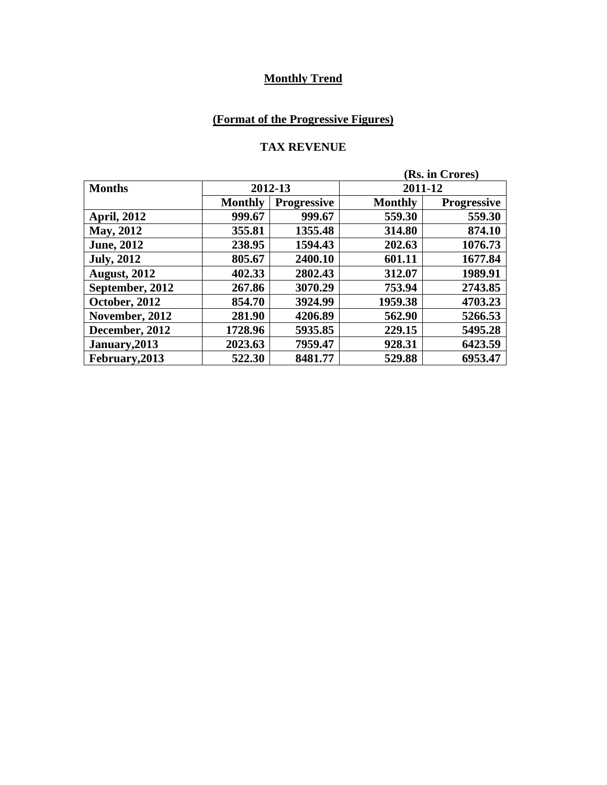# **(Format of the Progressive Figures)**

#### **TAX REVENUE**

|                      |                |                    | (Rs. in Crores) |                    |
|----------------------|----------------|--------------------|-----------------|--------------------|
| <b>Months</b>        |                | 2012-13            |                 | 2011-12            |
|                      | <b>Monthly</b> | <b>Progressive</b> | <b>Monthly</b>  | <b>Progressive</b> |
| <b>April, 2012</b>   | 999.67         | 999.67             | 559.30          | 559.30             |
| May, 2012            | 355.81         | 1355.48            | 314.80          | 874.10             |
| <b>June</b> , 2012   | 238.95         | 1594.43            | 202.63          | 1076.73            |
| <b>July, 2012</b>    | 805.67         | 2400.10            | 601.11          | 1677.84            |
| <b>August, 2012</b>  | 402.33         | 2802.43            | 312.07          | 1989.91            |
| September, 2012      | 267.86         | 3070.29            | 753.94          | 2743.85            |
| <b>October, 2012</b> | 854.70         | 3924.99            | 1959.38         | 4703.23            |
| November, 2012       | 281.90         | 4206.89            | 562.90          | 5266.53            |
| December, 2012       | 1728.96        | 5935.85            | 229.15          | 5495.28            |
| January, 2013        | 2023.63        | 7959.47            | 928.31          | 6423.59            |
| February, 2013       | 522.30         | 8481.77            | 529.88          | 6953.47            |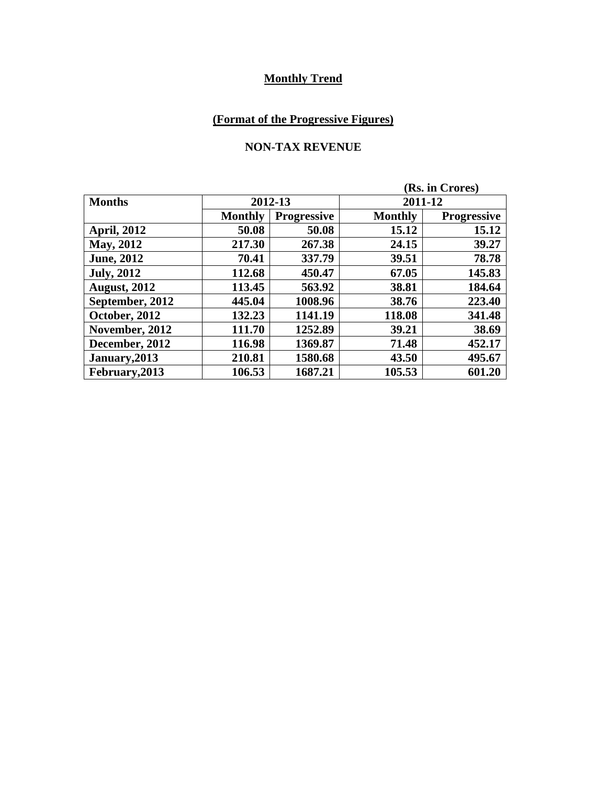# **(Format of the Progressive Figures)**

#### **NON-TAX REVENUE**

|                     | (Rs. in Crores) |                    |                |                    |
|---------------------|-----------------|--------------------|----------------|--------------------|
| <b>Months</b>       |                 | 2012-13            |                | 2011-12            |
|                     | <b>Monthly</b>  | <b>Progressive</b> | <b>Monthly</b> | <b>Progressive</b> |
| <b>April, 2012</b>  | 50.08           | 50.08              | 15.12          | 15.12              |
| May, 2012           | 217.30          | 267.38             | 24.15          | 39.27              |
| <b>June, 2012</b>   | 70.41           | 337.79             | 39.51          | 78.78              |
| <b>July, 2012</b>   | 112.68          | 450.47             | 67.05          | 145.83             |
| <b>August, 2012</b> | 113.45          | 563.92             | 38.81          | 184.64             |
| September, 2012     | 445.04          | 1008.96            | 38.76          | 223.40             |
| October, 2012       | 132.23          | 1141.19            | 118.08         | 341.48             |
| November, 2012      | 111.70          | 1252.89            | 39.21          | 38.69              |
| December, 2012      | 116.98          | 1369.87            | 71.48          | 452.17             |
| January, 2013       | 210.81          | 1580.68            | 43.50          | 495.67             |
| February, 2013      | 106.53          | 1687.21            | 105.53         | 601.20             |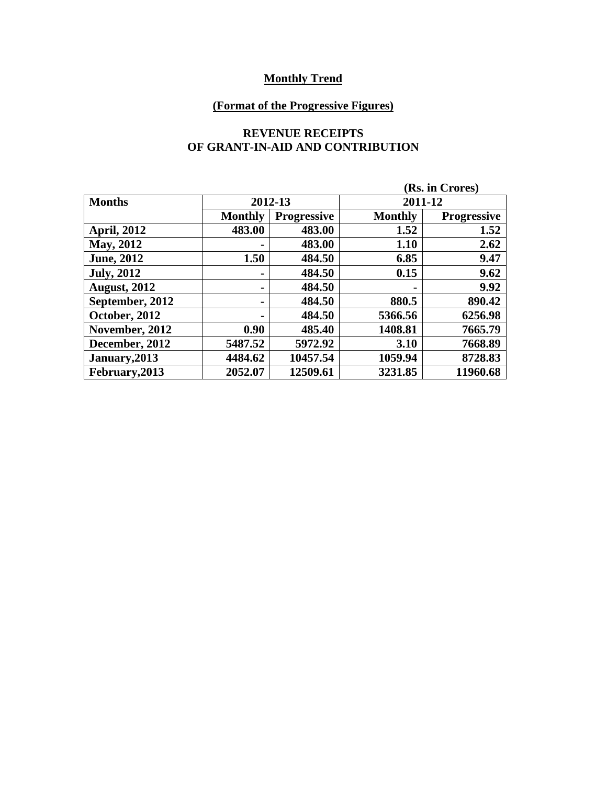# **(Format of the Progressive Figures)**

#### **REVENUE RECEIPTS OF GRANT-IN-AID AND CONTRIBUTION**

|                      |                |                    | (Rs. in Crores) |                    |
|----------------------|----------------|--------------------|-----------------|--------------------|
| <b>Months</b>        | 2012-13        |                    |                 | 2011-12            |
|                      | <b>Monthly</b> | <b>Progressive</b> | <b>Monthly</b>  | <b>Progressive</b> |
| <b>April, 2012</b>   | 483.00         | 483.00             | 1.52            | 1.52               |
| May, 2012            |                | 483.00             | 1.10            | 2.62               |
| <b>June, 2012</b>    | 1.50           | 484.50             | 6.85            | 9.47               |
| <b>July, 2012</b>    |                | 484.50             | 0.15            | 9.62               |
| <b>August, 2012</b>  |                | 484.50             | $\blacksquare$  | 9.92               |
| September, 2012      | $\blacksquare$ | 484.50             | 880.5           | 890.42             |
| <b>October, 2012</b> |                | 484.50             | 5366.56         | 6256.98            |
| November, 2012       | 0.90           | 485.40             | 1408.81         | 7665.79            |
| December, 2012       | 5487.52        | 5972.92            | 3.10            | 7668.89            |
| January, 2013        | 4484.62        | 10457.54           | 1059.94         | 8728.83            |
| February, 2013       | 2052.07        | 12509.61           | 3231.85         | 11960.68           |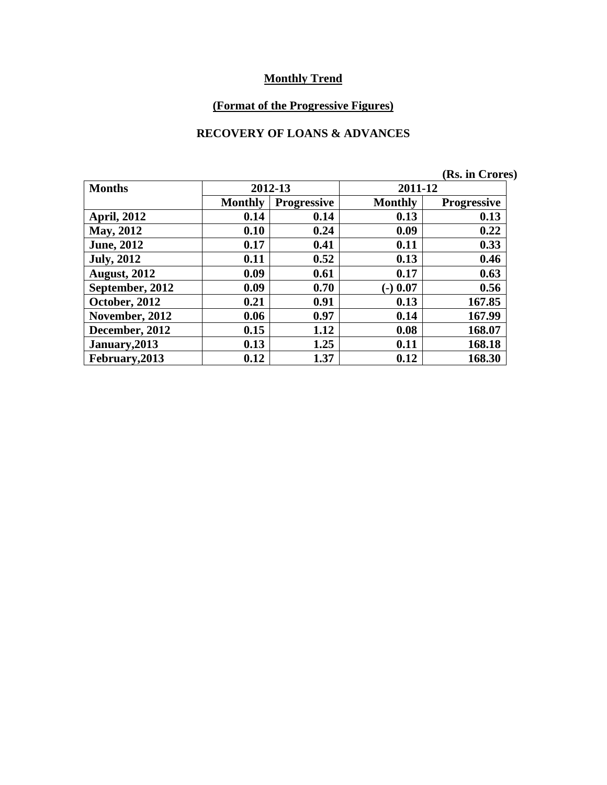# **(Format of the Progressive Figures)**

#### **RECOVERY OF LOANS & ADVANCES**

|                     |                |                    |                | (Rs. in Crores)    |
|---------------------|----------------|--------------------|----------------|--------------------|
| <b>Months</b>       | 2012-13        |                    | 2011-12        |                    |
|                     | <b>Monthly</b> | <b>Progressive</b> | <b>Monthly</b> | <b>Progressive</b> |
| <b>April, 2012</b>  | 0.14           | 0.14               | 0.13           | 0.13               |
| <b>May, 2012</b>    | 0.10           | 0.24               | 0.09           | 0.22               |
| <b>June, 2012</b>   | 0.17           | 0.41               | 0.11           | 0.33               |
| <b>July, 2012</b>   | 0.11           | 0.52               | 0.13           | 0.46               |
| <b>August, 2012</b> | 0.09           | 0.61               | 0.17           | 0.63               |
| September, 2012     | 0.09           | 0.70               | $(-)$ 0.07     | 0.56               |
| October, 2012       | 0.21           | 0.91               | 0.13           | 167.85             |
| November, 2012      | 0.06           | 0.97               | 0.14           | 167.99             |
| December, 2012      | 0.15           | 1.12               | 0.08           | 168.07             |
| January, 2013       | 0.13           | 1.25               | 0.11           | 168.18             |
| February, 2013      | 0.12           | 1.37               | 0.12           | 168.30             |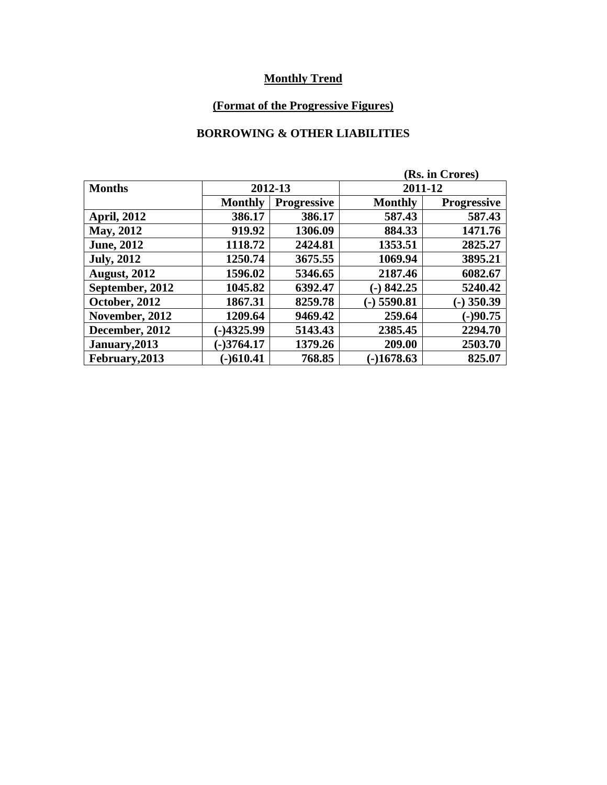# **(Format of the Progressive Figures)**

#### **BORROWING & OTHER LIABILITIES**

|                     |                   |                    | (Rs. in Crores) |                    |
|---------------------|-------------------|--------------------|-----------------|--------------------|
| <b>Months</b>       |                   | 2012-13            |                 | 2011-12            |
|                     | <b>Monthly</b>    | <b>Progressive</b> | <b>Monthly</b>  | <b>Progressive</b> |
| <b>April, 2012</b>  | 386.17            | 386.17             | 587.43          | 587.43             |
| <b>May, 2012</b>    | 919.92            | 1306.09            | 884.33          | 1471.76            |
| <b>June</b> , 2012  | 1118.72           | 2424.81            | 1353.51         | 2825.27            |
| <b>July, 2012</b>   | 1250.74           | 3675.55            | 1069.94         | 3895.21            |
| <b>August, 2012</b> | 1596.02           | 5346.65            | 2187.46         | 6082.67            |
| September, 2012     | 1045.82           | 6392.47            | $(-) 842.25$    | 5240.42            |
| October, 2012       | 1867.31           | 8259.78            | $(-)$ 5590.81   | $-$ ) 350.39       |
| November, 2012      | 1209.64           | 9469.42            | 259.64          | $(-)90.75$         |
| December, 2012      | $-14325.99$       | 5143.43            | 2385.45         | 2294.70            |
| January, 2013       | $(-)3764.17$      | 1379.26            | 209.00          | 2503.70            |
| February, 2013      | $-$ <b>610.41</b> | 768.85             | $-1678.63$      | 825.07             |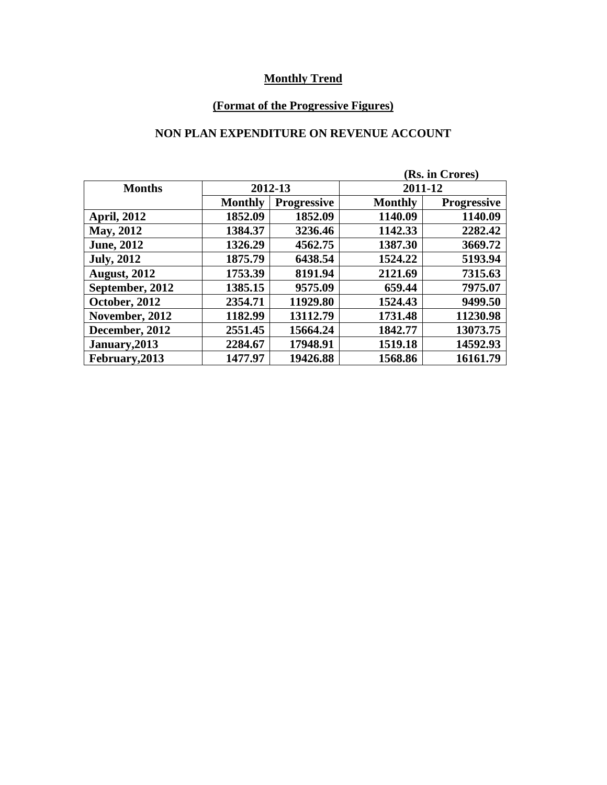# **(Format of the Progressive Figures)**

#### **NON PLAN EXPENDITURE ON REVENUE ACCOUNT**

|                     |                |                    | (Rs. in Crores) |                    |
|---------------------|----------------|--------------------|-----------------|--------------------|
| <b>Months</b>       |                | 2012-13            | 2011-12         |                    |
|                     | <b>Monthly</b> | <b>Progressive</b> | <b>Monthly</b>  | <b>Progressive</b> |
| <b>April, 2012</b>  | 1852.09        | 1852.09            | 1140.09         | 1140.09            |
| May, 2012           | 1384.37        | 3236.46            | 1142.33         | 2282.42            |
| <b>June</b> , 2012  | 1326.29        | 4562.75            | 1387.30         | 3669.72            |
| <b>July, 2012</b>   | 1875.79        | 6438.54            | 1524.22         | 5193.94            |
| <b>August, 2012</b> | 1753.39        | 8191.94            | 2121.69         | 7315.63            |
| September, 2012     | 1385.15        | 9575.09            | 659.44          | 7975.07            |
| October, 2012       | 2354.71        | 11929.80           | 1524.43         | 9499.50            |
| November, 2012      | 1182.99        | 13112.79           | 1731.48         | 11230.98           |
| December, 2012      | 2551.45        | 15664.24           | 1842.77         | 13073.75           |
| January, 2013       | 2284.67        | 17948.91           | 1519.18         | 14592.93           |
| February, 2013      | 1477.97        | 19426.88           | 1568.86         | 16161.79           |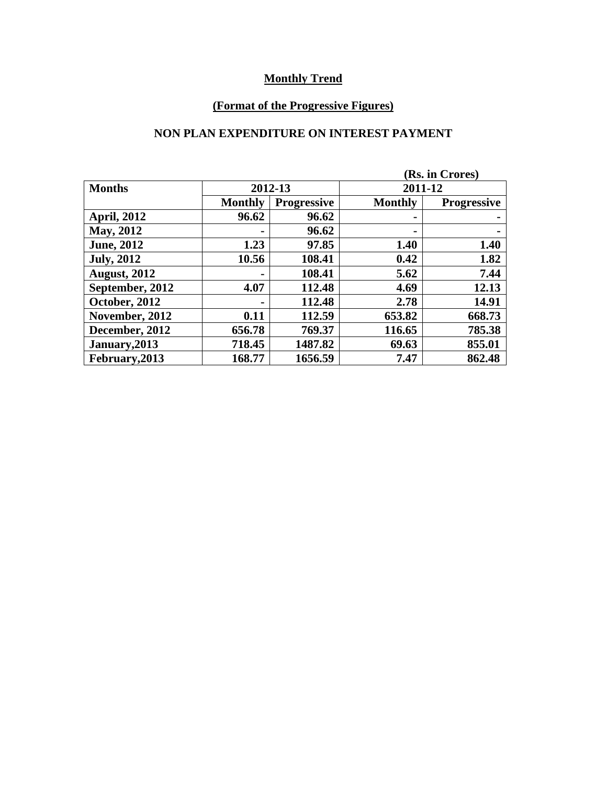# **(Format of the Progressive Figures)**

#### **NON PLAN EXPENDITURE ON INTEREST PAYMENT**

|                     |                |                    | (Rs. in Crores) |                    |
|---------------------|----------------|--------------------|-----------------|--------------------|
| <b>Months</b>       |                | 2012-13            | 2011-12         |                    |
|                     | <b>Monthly</b> | <b>Progressive</b> | <b>Monthly</b>  | <b>Progressive</b> |
| <b>April, 2012</b>  | 96.62          | 96.62              | $\blacksquare$  |                    |
| May, 2012           |                | 96.62              | $\blacksquare$  |                    |
| <b>June</b> , 2012  | 1.23           | 97.85              | 1.40            | 1.40               |
| <b>July, 2012</b>   | 10.56          | 108.41             | 0.42            | 1.82               |
| <b>August, 2012</b> |                | 108.41             | 5.62            | 7.44               |
| September, 2012     | 4.07           | 112.48             | 4.69            | 12.13              |
| October, 2012       |                | 112.48             | 2.78            | 14.91              |
| November, 2012      | 0.11           | 112.59             | 653.82          | 668.73             |
| December, 2012      | 656.78         | 769.37             | 116.65          | 785.38             |
| January, 2013       | 718.45         | 1487.82            | 69.63           | 855.01             |
| February, 2013      | 168.77         | 1656.59            | 7.47            | 862.48             |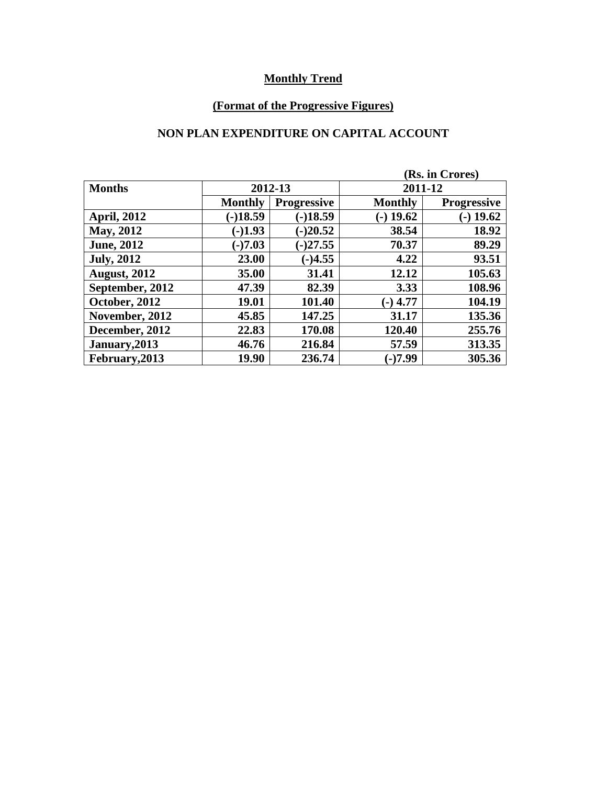# **(Format of the Progressive Figures)**

#### **NON PLAN EXPENDITURE ON CAPITAL ACCOUNT**

|                     |                |                    | (Rs. in Crores) |                    |
|---------------------|----------------|--------------------|-----------------|--------------------|
| <b>Months</b>       |                | 2012-13            | 2011-12         |                    |
|                     | <b>Monthly</b> | <b>Progressive</b> | <b>Monthly</b>  | <b>Progressive</b> |
| <b>April, 2012</b>  | $(-)18.59$     | $(-)18.59$         | $(-)$ 19.62     | $-$ ) 19.62        |
| May, 2012           | $(-)1.93$      | $(-)20.52$         | 38.54           | 18.92              |
| <b>June, 2012</b>   | $(-)7.03$      | $(-)27.55$         | 70.37           | 89.29              |
| <b>July, 2012</b>   | 23.00          | $(-)4.55$          | 4.22            | 93.51              |
| <b>August, 2012</b> | 35.00          | 31.41              | 12.12           | 105.63             |
| September, 2012     | 47.39          | 82.39              | 3.33            | 108.96             |
| October, 2012       | 19.01          | 101.40             | $(-)$ 4.77      | 104.19             |
| November, 2012      | 45.85          | 147.25             | 31.17           | 135.36             |
| December, 2012      | 22.83          | 170.08             | 120.40          | 255.76             |
| January, 2013       | 46.76          | 216.84             | 57.59           | 313.35             |
| February, 2013      | 19.90          | 236.74             | $-17.99$        | 305.36             |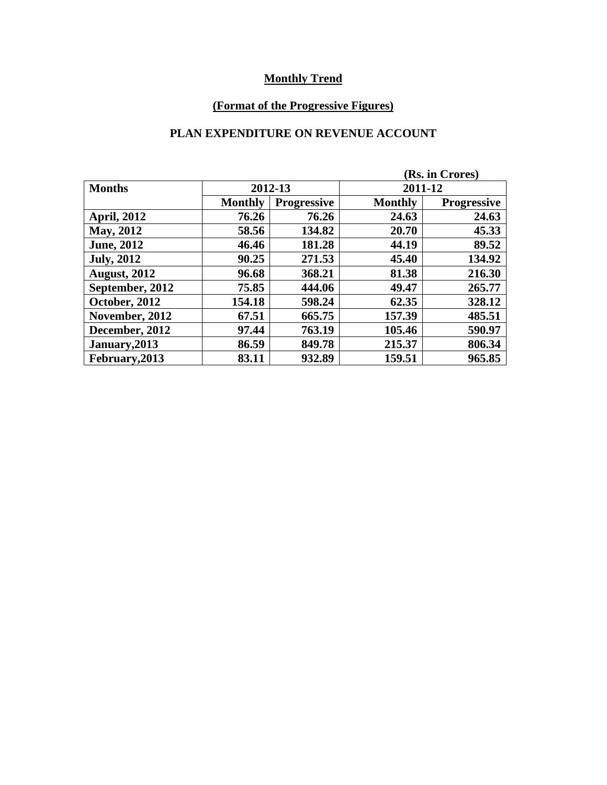# **(Format of the Progressive Figures)**

#### **PLAN EXPENDITURE ON REVENUE ACCOUNT**

|                     |                |                    | (Rs. in Crores) |                    |
|---------------------|----------------|--------------------|-----------------|--------------------|
| <b>Months</b>       |                | 2012-13            | 2011-12         |                    |
|                     | <b>Monthly</b> | <b>Progressive</b> | <b>Monthly</b>  | <b>Progressive</b> |
| <b>April, 2012</b>  | 76.26          | 76.26              | 24.63           | 24.63              |
| May, 2012           | 58.56          | 134.82             | 20.70           | 45.33              |
| <b>June, 2012</b>   | 46.46          | 181.28             | 44.19           | 89.52              |
| <b>July, 2012</b>   | 90.25          | 271.53             | 45.40           | 134.92             |
| <b>August, 2012</b> | 96.68          | 368.21             | 81.38           | 216.30             |
| September, 2012     | 75.85          | 444.06             | 49.47           | 265.77             |
| October, 2012       | 154.18         | 598.24             | 62.35           | 328.12             |
| November, 2012      | 67.51          | 665.75             | 157.39          | 485.51             |
| December, 2012      | 97.44          | 763.19             | 105.46          | 590.97             |
| January, 2013       | 86.59          | 849.78             | 215.37          | 806.34             |
| February, 2013      | 83.11          | 932.89             | 159.51          | 965.85             |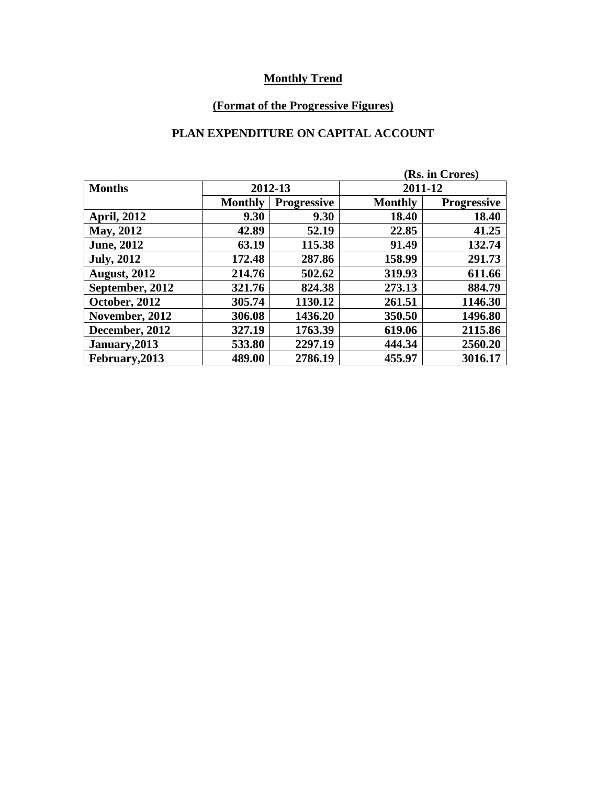# **(Format of the Progressive Figures)**

#### **PLAN EXPENDITURE ON CAPITAL ACCOUNT**

|                     |                |                    | (Rs. in Crores) |                    |
|---------------------|----------------|--------------------|-----------------|--------------------|
| <b>Months</b>       | 2012-13        |                    | 2011-12         |                    |
|                     | <b>Monthly</b> | <b>Progressive</b> | <b>Monthly</b>  | <b>Progressive</b> |
| <b>April, 2012</b>  | 9.30           | 9.30               | 18.40           | 18.40              |
| May, 2012           | 42.89          | 52.19              | 22.85           | 41.25              |
| <b>June</b> , 2012  | 63.19          | 115.38             | 91.49           | 132.74             |
| <b>July, 2012</b>   | 172.48         | 287.86             | 158.99          | 291.73             |
| <b>August, 2012</b> | 214.76         | 502.62             | 319.93          | 611.66             |
| September, 2012     | 321.76         | 824.38             | 273.13          | 884.79             |
| October, 2012       | 305.74         | 1130.12            | 261.51          | 1146.30            |
| November, 2012      | 306.08         | 1436.20            | 350.50          | 1496.80            |
| December, 2012      | 327.19         | 1763.39            | 619.06          | 2115.86            |
| January, 2013       | 533.80         | 2297.19            | 444.34          | 2560.20            |
| February, 2013      | 489.00         | 2786.19            | 455.97          | 3016.17            |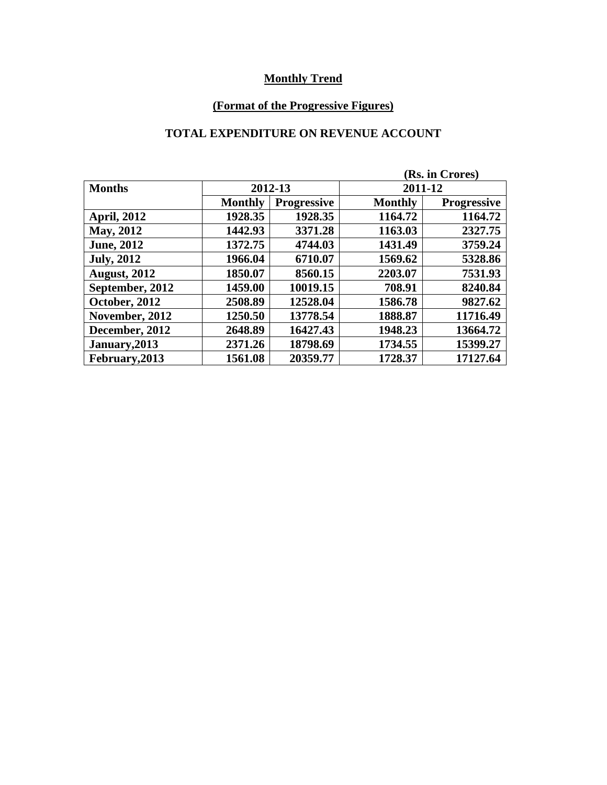# **(Format of the Progressive Figures)**

#### **TOTAL EXPENDITURE ON REVENUE ACCOUNT**

|                     |                |                    | (Rs. in Crores) |                    |
|---------------------|----------------|--------------------|-----------------|--------------------|
| <b>Months</b>       |                | 2012-13            | 2011-12         |                    |
|                     | <b>Monthly</b> | <b>Progressive</b> | <b>Monthly</b>  | <b>Progressive</b> |
| <b>April, 2012</b>  | 1928.35        | 1928.35            | 1164.72         | 1164.72            |
| May, 2012           | 1442.93        | 3371.28            | 1163.03         | 2327.75            |
| <b>June</b> , 2012  | 1372.75        | 4744.03            | 1431.49         | 3759.24            |
| <b>July, 2012</b>   | 1966.04        | 6710.07            | 1569.62         | 5328.86            |
| <b>August, 2012</b> | 1850.07        | 8560.15            | 2203.07         | 7531.93            |
| September, 2012     | 1459.00        | 10019.15           | 708.91          | 8240.84            |
| October, 2012       | 2508.89        | 12528.04           | 1586.78         | 9827.62            |
| November, 2012      | 1250.50        | 13778.54           | 1888.87         | 11716.49           |
| December, 2012      | 2648.89        | 16427.43           | 1948.23         | 13664.72           |
| January, 2013       | 2371.26        | 18798.69           | 1734.55         | 15399.27           |
| February, 2013      | 1561.08        | 20359.77           | 1728.37         | 17127.64           |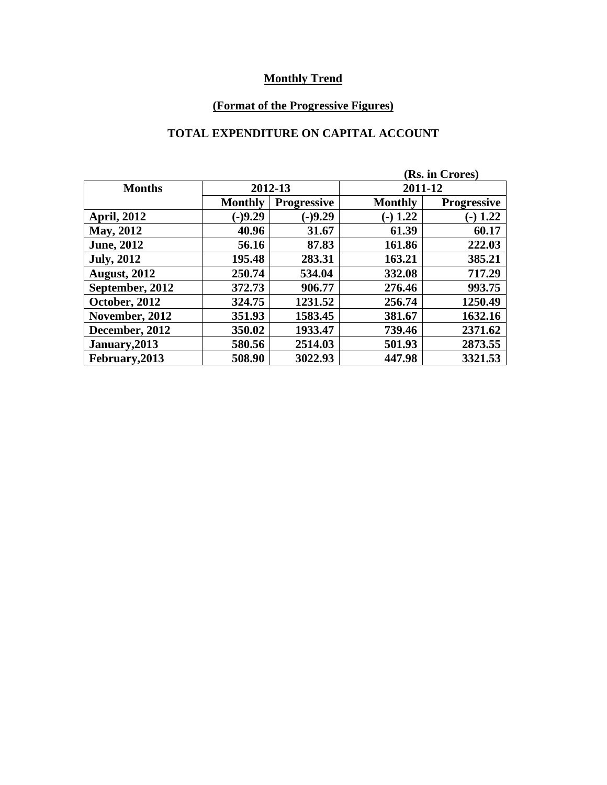# **(Format of the Progressive Figures)**

# **TOTAL EXPENDITURE ON CAPITAL ACCOUNT**

|                     |                |                    | (Rs. in Crores) |                    |  |  |
|---------------------|----------------|--------------------|-----------------|--------------------|--|--|
| <b>Months</b>       | 2012-13        |                    |                 | 2011-12            |  |  |
|                     | <b>Monthly</b> | <b>Progressive</b> | <b>Monthly</b>  | <b>Progressive</b> |  |  |
| <b>April, 2012</b>  | $(-)9.29$      | $(-)9.29$          | $(-) 1.22$      | $-1.22$            |  |  |
| May, 2012           | 40.96          | 31.67              | 61.39           | 60.17              |  |  |
| <b>June</b> , 2012  | 56.16          | 87.83              | 161.86          | 222.03             |  |  |
| <b>July, 2012</b>   | 195.48         | 283.31             | 163.21          | 385.21             |  |  |
| <b>August, 2012</b> | 250.74         | 534.04             | 332.08          | 717.29             |  |  |
| September, 2012     | 372.73         | 906.77             | 276.46          | 993.75             |  |  |
| October, 2012       | 324.75         | 1231.52            | 256.74          | 1250.49            |  |  |
| November, 2012      | 351.93         | 1583.45            | 381.67          | 1632.16            |  |  |
| December, 2012      | 350.02         | 1933.47            | 739.46          | 2371.62            |  |  |
| January, 2013       | 580.56         | 2514.03            | 501.93          | 2873.55            |  |  |
| February, 2013      | 508.90         | 3022.93            | 447.98          | 3321.53            |  |  |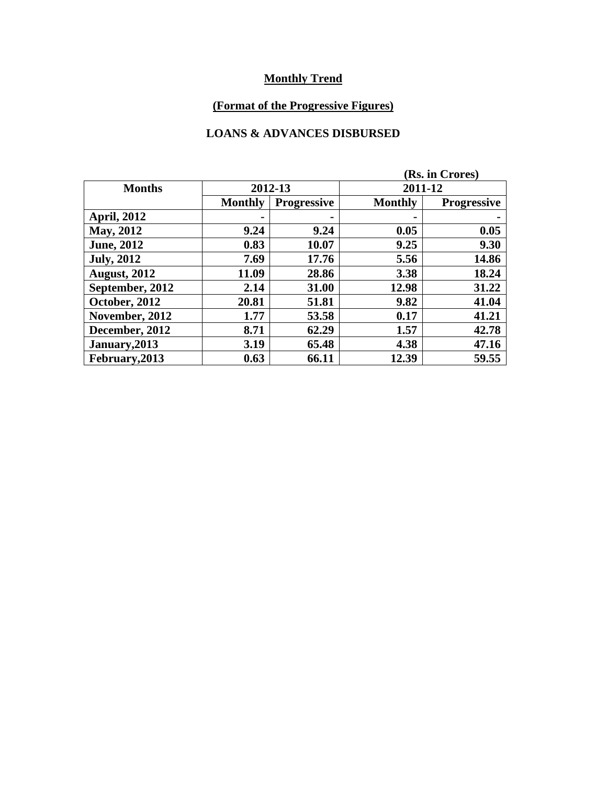# **(Format of the Progressive Figures)**

#### **LOANS & ADVANCES DISBURSED**

|                     |                |                    |                | (Rs. in Crores)    |  |
|---------------------|----------------|--------------------|----------------|--------------------|--|
| <b>Months</b>       | 2012-13        |                    | 2011-12        |                    |  |
|                     | <b>Monthly</b> | <b>Progressive</b> | <b>Monthly</b> | <b>Progressive</b> |  |
| <b>April, 2012</b>  |                | $\blacksquare$     | $\blacksquare$ | $\blacksquare$     |  |
| May, 2012           | 9.24           | 9.24               | 0.05           | 0.05               |  |
| <b>June, 2012</b>   | 0.83           | 10.07              | 9.25           | 9.30               |  |
| <b>July, 2012</b>   | 7.69           | 17.76              | 5.56           | 14.86              |  |
| <b>August, 2012</b> | 11.09          | 28.86              | 3.38           | 18.24              |  |
| September, 2012     | 2.14           | 31.00              | 12.98          | 31.22              |  |
| October, 2012       | 20.81          | 51.81              | 9.82           | 41.04              |  |
| November, 2012      | 1.77           | 53.58              | 0.17           | 41.21              |  |
| December, 2012      | 8.71           | 62.29              | 1.57           | 42.78              |  |
| January, 2013       | 3.19           | 65.48              | 4.38           | 47.16              |  |
| February, 2013      | 0.63           | 66.11              | 12.39          | 59.55              |  |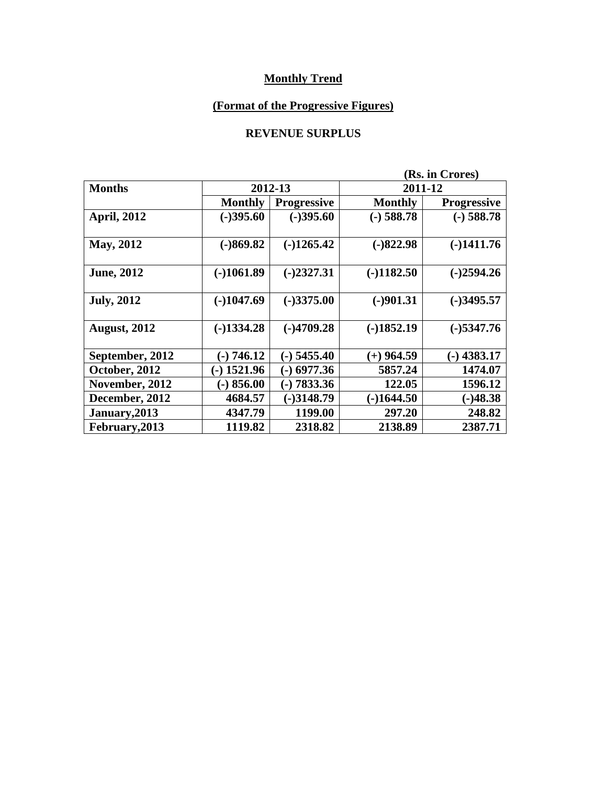# **(Format of the Progressive Figures)**

#### **REVENUE SURPLUS**

|                     |                |                    |                | (Rs. in Crores)    |  |  |
|---------------------|----------------|--------------------|----------------|--------------------|--|--|
| <b>Months</b>       |                | 2012-13            |                | 2011-12            |  |  |
|                     | <b>Monthly</b> | <b>Progressive</b> | <b>Monthly</b> | <b>Progressive</b> |  |  |
| <b>April, 2012</b>  | $(-)395.60$    | $(-)395.60$        | $(-)$ 588.78   | $(-)$ 588.78       |  |  |
| May, 2012           | $(-)869.82$    | $(-)1265.42$       | $(-)822.98$    | $(-)1411.76$       |  |  |
| <b>June, 2012</b>   | $(-)1061.89$   | $(-)2327.31$       | $(-)1182.50$   | $(-)2594.26$       |  |  |
| <b>July, 2012</b>   | $(-)1047.69$   | $(-)3375.00$       | $(-)901.31$    | $(-)3495.57$       |  |  |
| <b>August, 2012</b> | $(-)1334.28$   | $(-)4709.28$       | $(-)1852.19$   | $(-)$ 5347.76      |  |  |
| September, 2012     | $(-) 746.12$   | $(-)$ 5455.40      | $(+)$ 964.59   | $-$ ) 4383.17      |  |  |
| October, 2012       | $-$ ) 1521.96  | $(-)$ 6977.36      | 5857.24        | 1474.07            |  |  |
| November, 2012      | $-$ 856.00     | $(-) 7833.36$      | 122.05         | 1596.12            |  |  |
| December, 2012      | 4684.57        | $(-)3148.79$       | $(-)1644.50$   | $(-)48.38$         |  |  |
| January, 2013       | 4347.79        | 1199.00            | 297.20         | 248.82             |  |  |
| February, 2013      | 1119.82        | 2318.82            | 2138.89        | 2387.71            |  |  |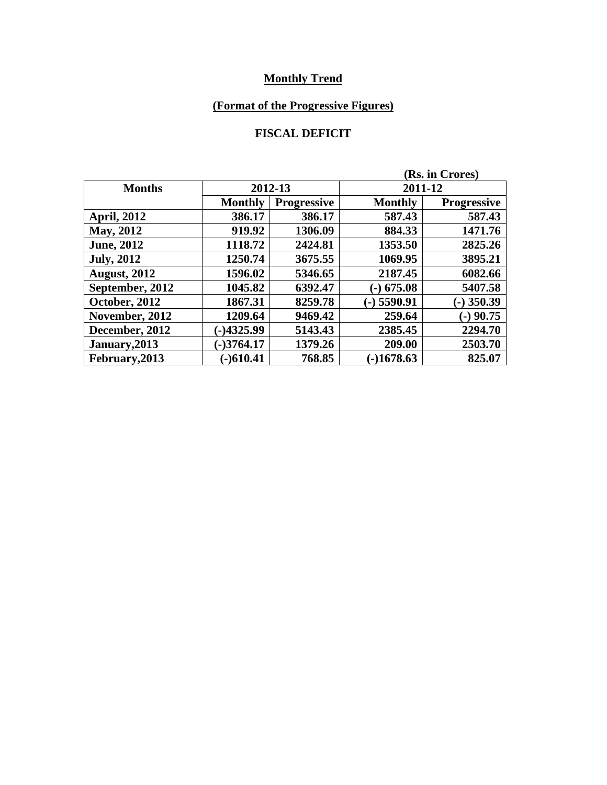# **(Format of the Progressive Figures)**

#### **FISCAL DEFICIT**

|                      |                |                    | (Rs. in Crores) |                    |  |
|----------------------|----------------|--------------------|-----------------|--------------------|--|
| <b>Months</b>        | 2012-13        |                    | 2011-12         |                    |  |
|                      | <b>Monthly</b> | <b>Progressive</b> | <b>Monthly</b>  | <b>Progressive</b> |  |
| <b>April, 2012</b>   | 386.17         | 386.17             | 587.43          | 587.43             |  |
| May, 2012            | 919.92         | 1306.09            | 884.33          | 1471.76            |  |
| <b>June</b> , 2012   | 1118.72        | 2424.81            | 1353.50         | 2825.26            |  |
| <b>July, 2012</b>    | 1250.74        | 3675.55            | 1069.95         | 3895.21            |  |
| <b>August, 2012</b>  | 1596.02        | 5346.65            | 2187.45         | 6082.66            |  |
| September, 2012      | 1045.82        | 6392.47            | $(-)$ 675.08    | 5407.58            |  |
| <b>October, 2012</b> | 1867.31        | 8259.78            | $-$ ) 5590.91   | $-$ ) 350.39       |  |
| November, 2012       | 1209.64        | 9469.42            | 259.64          | $-)$ 90.75         |  |
| December, 2012       | $-)4325.99$    | 5143.43            | 2385.45         | 2294.70            |  |
| January, 2013        | $(-)3764.17$   | 1379.26            | 209.00          | 2503.70            |  |
| February, 2013       | $(-)610.41$    | 768.85             | $-1678.63$      | 825.07             |  |